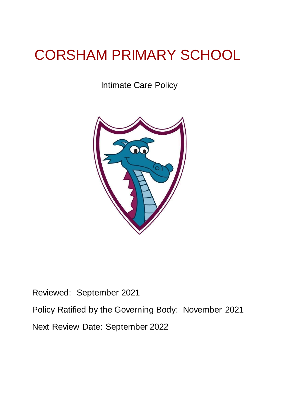# CORSHAM PRIMARY SCHOOL

Intimate Care Policy



Reviewed: September 2021 Policy Ratified by the Governing Body: November 2021 Next Review Date: September 2022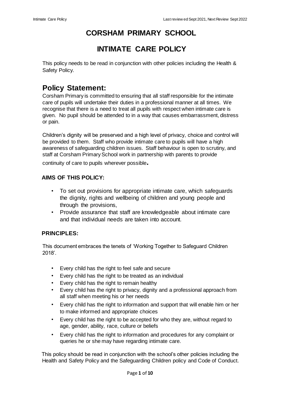# **CORSHAM PRIMARY SCHOOL**

# **INTIMATE CARE POLICY**

This policy needs to be read in conjunction with other policies including the Health & Safety Policy.

# **Policy Statement:**

Corsham Primary is committed to ensuring that all staff responsible for the intimate care of pupils will undertake their duties in a professional manner at all times. We recognise that there is a need to treat all pupils with respect when intimate care is given. No pupil should be attended to in a way that causes embarrassment, distress or pain.

Children's dignity will be preserved and a high level of privacy, choice and control will be provided to them. Staff who provide intimate care to pupils will have a high awareness of safeguarding children issues. Staff behaviour is open to scrutiny, and staff at Corsham Primary School work in partnership with parents to provide

continuity of care to pupils wherever possible**.** 

# **AIMS OF THIS POLICY:**

- To set out provisions for appropriate intimate care, which safeguards the dignity, rights and wellbeing of children and young people and through the provisions,
- Provide assurance that staff are knowledgeable about intimate care and that individual needs are taken into account.

# **PRINCIPLES:**

This document embraces the tenets of 'Working Together to Safeguard Children 2018'.

- Every child has the right to feel safe and secure
- Every child has the right to be treated as an individual
- Every child has the right to remain healthy
- Every child has the right to privacy, dignity and a professional approach from all staff when meeting his or her needs
- Every child has the right to information and support that will enable him or her to make informed and appropriate choices
- Every child has the right to be accepted for who they are, without regard to age, gender, ability, race, culture or beliefs
- Every child has the right to information and procedures for any complaint or queries he or she may have regarding intimate care.

This policy should be read in conjunction with the school's other policies including the Health and Safety Policy and the Safeguarding Children policy and Code of Conduct.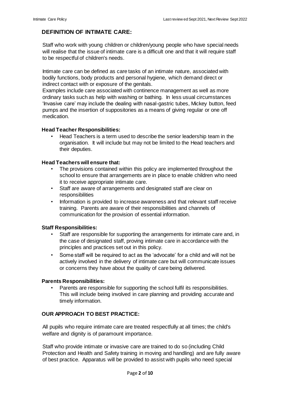# **DEFINITION OF INTIMATE CARE:**

Staff who work with young children or children/young people who have special needs will realise that the issue of intimate care is a difficult one and that it will require staff to be respectful of children's needs.

Intimate care can be defined as care tasks of an intimate nature, associated with bodily functions, body products and personal hygiene, which demand direct or indirect contact with or exposure of the genitals.

Examples include care associated with continence management as well as more ordinary tasks such as help with washing or bathing. In less usual circumstances 'Invasive care' may include the dealing with nasal-gastric tubes, Mickey button, feed pumps and the insertion of suppositories as a means of giving regular or one off medication.

#### **Head Teacher Responsibilities:**

• Head Teachers is a term used to describe the senior leadership team in the organisation. It will include but may not be limited to the Head teachers and their deputies.

#### **Head Teachers will ensure that:**

- The provisions contained within this policy are implemented throughout the school to ensure that arrangements are in place to enable children who need it to receive appropriate intimate care.
- Staff are aware of arrangements and designated staff are clear on responsibilities
- Information is provided to increase awareness and that relevant staff receive training. Parents are aware of their responsibilities and channels of communication for the provision of essential information.

#### **Staff Responsibilities:**

- Staff are responsible for supporting the arrangements for intimate care and, in the case of designated staff, proving intimate care in accordance with the principles and practices set out in this policy.
- Some staff will be required to act as the 'advocate' for a child and will not be actively involved in the delivery of intimate care but will communicate issues or concerns they have about the quality of care being delivered.

#### **Parents Responsibilities:**

Parents are responsible for supporting the school fulfil its responsibilities. This will include being involved in care planning and providing accurate and timely information.

#### **OUR APPROACH TO BEST PRACTICE:**

All pupils who require intimate care are treated respectfully at all times; the child's welfare and dignity is of paramount importance.

Staff who provide intimate or invasive care are trained to do so (including Child Protection and Health and Safety training in moving and handling) and are fully aware of best practice. Apparatus will be provided to assist with pupils who need special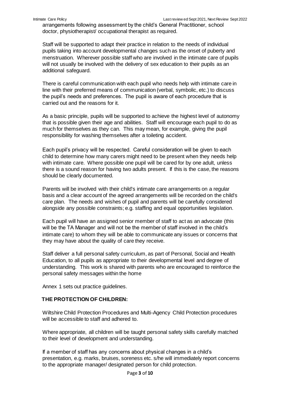arrangements following assessment by the child's General Practitioner, school doctor, physiotherapist/ occupational therapist as required.

Staff will be supported to adapt their practice in relation to the needs of individual pupils taking into account developmental changes such as the onset of puberty and menstruation. Wherever possible staff who are involved in the intimate care of pupils will not usually be involved with the delivery of sex education to their pupils as an additional safeguard.

There is careful communication with each pupil who needs help with intimate care in line with their preferred means of communication (verbal, symbolic, etc.) to discuss the pupil's needs and preferences. The pupil is aware of each procedure that is carried out and the reasons for it.

As a basic principle, pupils will be supported to achieve the highest level of autonomy that is possible given their age and abilities. Staff will encourage each pupil to do as much for themselves as they can. This may mean, for example, giving the pupil responsibility for washing themselves after a toileting accident.

Each pupil's privacy will be respected. Careful consideration will be given to each child to determine how many carers might need to be present when they needs help with intimate care. Where possible one pupil will be cared for by one adult, unless there is a sound reason for having two adults present. If this is the case, the reasons should be clearly documented.

Parents will be involved with their child's intimate care arrangements on a regular basis and a clear account of the agreed arrangements will be recorded on the child's care plan. The needs and wishes of pupil and parents will be carefully considered alongside any possible constraints; e.g. staffing and equal opportunities legislation.

Each pupil will have an assigned senior member of staff to act as an advocate (this will be the TA Manager and will not be the member of staff involved in the child's intimate care) to whom they will be able to communicate any issues or concerns that they may have about the quality of care they receive.

Staff deliver a full personal safety curriculum, as part of Personal, Social and Health Education, to all pupils as appropriate to their developmental level and degree of understanding. This work is shared with parents who are encouraged to reinforce the personal safety messages within the home

Annex 1 sets out practice guidelines.

## **THE PROTECTION OF CHILDREN:**

Wiltshire Child Protection Procedures and Multi-Agency Child Protection procedures will be accessible to staff and adhered to.

Where appropriate, all children will be taught personal safety skills carefully matched to their level of development and understanding.

If a member of staff has any concerns about physical changes in a child's presentation, e.g. marks, bruises, soreness etc. s/he will immediately report concerns to the appropriate manager/ designated person for child protection.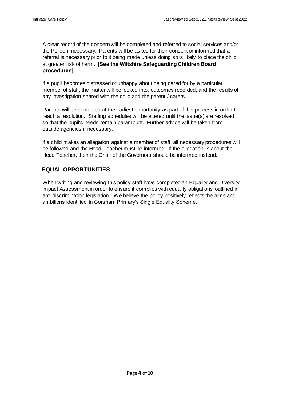A clear record of the concern will be completed and referred to social services and/or the Police if necessary. Parents will be asked for their consent or informed that a referral is necessary prior to it being made unless doing so is likely to place the child at greater risk of harm. [**See the Wiltshire Safeguarding Children Board procedures]** 

If a pupil becomes distressed or unhappy about being cared for by a particular member of staff, the matter will be looked into, outcomes recorded, and the results of any investigation shared with the child and the parent / carers.

Parents will be contacted at the earliest opportunity as part of this process in order to reach a resolution. Staffing schedules will be altered until the issue(s) are resolved so that the pupil's needs remain paramount. Further advice will be taken from outside agencies if necessary.

If a child makes an allegation against a member of staff, all necessary procedures will be followed and the Head Teacher must be informed. If the allegation is about the Head Teacher, then the Chair of the Governors should be informed instead.

# **EQUAL OPPORTUNITIES**

When writing and reviewing this policy staff have completed an Equality and Diversity Impact Assessment in order to ensure it complies with equality obligations outlined in anti-discrimination legislation. We believe the policy positively reflects the aims and ambitions identified in Corsham Primary's Single Equality Scheme.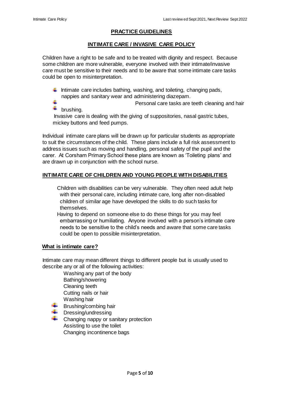#### **PRACTICE GUIDELINES**

#### **INTIMATE CARE / INVASIVE CARE POLICY**

Children have a right to be safe and to be treated with dignity and respect. Because some children are more vulnerable, everyone involved with their intimate/invasive care must be sensitive to their needs and to be aware that some intimate care tasks could be open to misinterpretation.

Intimate care includes bathing, washing, and toileting, changing pads, nappies and sanitary wear and administering diazepam.

4. Personal care tasks are teeth cleaning and hair ÷ brushing.

Invasive care is dealing with the giving of suppositories, nasal gastric tubes, mickey buttons and feed pumps.

Individual intimate care plans will be drawn up for particular students as appropriate to suit the circumstances of the child. These plans include a full risk assessment to address issues such as moving and handling, personal safety of the pupil and the carer. At Corsham Primary School these plans are known as 'Toileting plans' and are drawn up in conjunction with the school nurse.

#### **INTIMATE CARE OF CHILDREN AND YOUNG PEOPLE WITH DISABILITIES**

Children with disabilities can be very vulnerable. They often need adult help with their personal care, including intimate care, long after non-disabled children of similar age have developed the skills to do such tasks for themselves.

Having to depend on someone else to do these things for you may feel embarrassing or humiliating. Anyone involved with a person's intimate care needs to be sensitive to the child's needs and aware that some care tasks could be open to possible misinterpretation.

#### **What is intimate care?**

Intimate care may mean different things to different people but is usually used to describe any or all of the following activities:

Washing any part of the body

- Bathing/showering
- Cleaning teeth
- Cutting nails or hair
- Washing hair
- Brushing/combing hair
- Dressing/undressing
- $\triangleq$  Changing nappy or sanitary protection Assisting to use the toilet Changing incontinence bags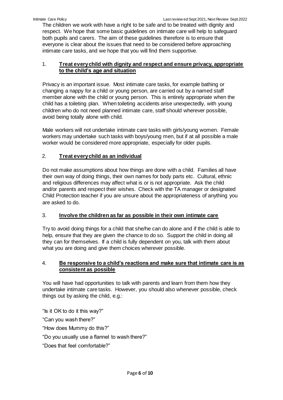The children we work with have a right to be safe and to be treated with dignity and respect. We hope that some basic guidelines on intimate care will help to safeguard both pupils and carers. The aim of these guidelines therefore is to ensure that everyone is clear about the issues that need to be considered before approaching intimate care tasks, and we hope that you will find them supportive.

# 1. **Treat every child with dignity and respect and ensure privacy, appropriate to the child's age and situation**

Privacy is an important issue. Most intimate care tasks, for example bathing or changing a nappy for a child or young person, are carried out by a named staff member alone with the child or young person. This is entirely appropriate when the child has a toileting plan. When toileting accidents arise unexpectedly, with young children who do not need planned intimate care, staff should wherever possible, avoid being totally alone with child.

Male workers will not undertake intimate care tasks with girls/young women. Female workers may undertake such tasks with boys/young men, but if at all possible a male worker would be considered more appropriate, especially for older pupils.

# 2. **Treat every child as an individual**

Do not make assumptions about how things are done with a child. Families all have their own way of doing things, their own names for body parts etc. Cultural, ethnic and religious differences may affect what is or is not appropriate. Ask the child and/or parents and respect their wishes. Check with the TA manager or designated Child Protection teacher if you are unsure about the appropriateness of anything you are asked to do.

# 3. **Involve the children as far as possible in their own intimate care**

Try to avoid doing things for a child that she/he can do alone and if the child is able to help, ensure that they are given the chance to do so. Support the child in doing all they can for themselves. If a child is fully dependent on you, talk with them about what you are doing and give them choices wherever possible.

#### 4. **Be responsive to a child's reactions and make sure that intimate care is as consistent as possible**

You will have had opportunities to talk with parents and learn from them how they undertake intimate care tasks. However, you should also whenever possible, check things out by asking the child, e.g.:

"Is it OK to do it this way?"

"Can you wash there?"

"How does Mummy do this?"

"Do you usually use a flannel to wash there?"

"Does that feel comfortable?"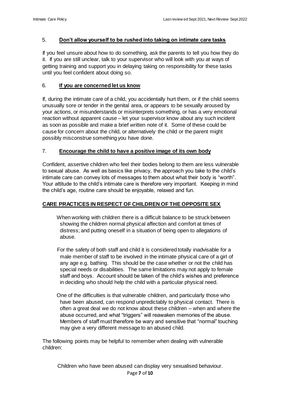#### 5. **Don't allow yourself to be rushed into taking on intimate care tasks**

If you feel unsure about how to do something, ask the parents to tell you how they do it. If you are still unclear, talk to your supervisor who will look with you at ways of getting training and support you in delaying taking on responsibility for these tasks until you feel confident about doing so.

#### 6. **If you are concerned let us know**

If, during the intimate care of a child, you accidentally hurt them, or if the child seems unusually sore or tender in the genital area, or appears to be sexually aroused by your actions, or misunderstands or misinterprets something, or has a very emotional reaction without apparent cause – let your supervisor know about any such incident as soon as possible and make a brief written note of it. Some of these could be cause for concern about the child, or alternatively the child or the parent might possibly misconstrue something you have done.

#### 7. **Encourage the child to have a positive image of its own body**

Confident, assertive children who feel their bodies belong to them are less vulnerable to sexual abuse. As well as basics like privacy, the approach you take to the child's intimate care can convey lots of messages to them about what their body is "worth". Your attitude to the child's intimate care is therefore very important. Keeping in mind the child's age, routine care should be enjoyable, relaxed and fun.

# **CARE PRACTICES IN RESPECT OF CHILDREN OF THE OPPOSITE SEX**

When working with children there is a difficult balance to be struck between showing the children normal physical affection and comfort at times of distress; and putting oneself in a situation of being open to allegations of abuse.

For the safety of both staff and child it is considered totally inadvisable for a male member of staff to be involved in the intimate physical care of a girl of any age e.g. bathing. This should be the case whether or not the child has special needs or disabilities. The same limitations may not apply to female staff and boys. Account should be taken of the child's wishes and preference in deciding who should help the child with a particular physical need.

One of the difficulties is that vulnerable children, and particularly those who have been abused, can respond unpredictably to physical contact. There is often a great deal we do not know about these children – when and where the abuse occurred, and what "triggers" will reawaken memories of the abuse. Members of staff must therefore be wary and sensitive that "normal" touching may give a very different message to an abused child.

The following points may be helpful to remember when dealing with vulnerable children:

Page **7** of **10** Children who have been abused can display very sexualised behaviour.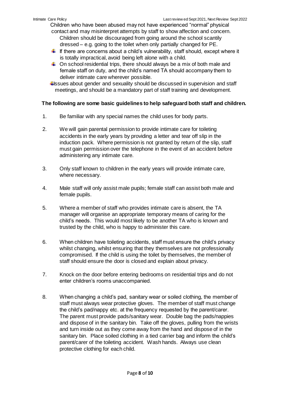Children who have been abused may not have experienced "normal" physical

- contact and may misinterpret attempts by staff to show affection and concern. Children should be discouraged from going around the school scantily dressed – e.g. going to the toilet when only partially changed for PE.
- $\ddot{\bullet}$  If there are concerns about a child's vulnerability, staff should, except where it is totally impractical, avoid being left alone with a child.
- $\ddot{\bullet}$  On school residential trips, there should always be a mix of both male and female staff on duty, and the child's named TA should accompany them to deliver intimate care wherever possible.
- Issues about gender and sexuality should be discussed in supervision and staff meetings, and should be a mandatory part of staff training and development.

#### **The following are some basic guidelines to help safeguard both staff and children.**

- 1. Be familiar with any special names the child uses for body parts.
- 2. We will gain parental permission to provide intimate care for toileting accidents in the early years by providing a letter and tear off slip in the induction pack. Where permission is not granted by return of the slip, staff must gain permission over the telephone in the event of an accident before administering any intimate care.
- 3. Only staff known to children in the early years will provide intimate care, where necessary.
- 4. Male staff will only assist male pupils; female staff can assist both male and female pupils.
- 5. Where a member of staff who provides intimate care is absent, the TA manager will organise an appropriate temporary means of caring for the child's needs. This would most likely to be another TA who is known and trusted by the child, who is happy to administer this care.
- 6. When children have toileting accidents, staff must ensure the child's privacy whilst changing, whilst ensuring that they themselves are not professionally compromised. If the child is using the toilet by themselves, the member of staff should ensure the door is closed and explain about privacy.
- 7. Knock on the door before entering bedrooms on residential trips and do not enter children's rooms unaccompanied.
- 8. When changing a child's pad, sanitary wear or soiled clothing, the member of staff must always wear protective gloves. The member of staff must change the child's pad/nappy etc. at the frequency requested by the parent/carer. The parent must provide pads/sanitary wear. Double bag the pads/nappies and dispose of in the sanitary bin. Take off the gloves, pulling from the wrists and turn inside out as they come away from the hand and dispose of in the sanitary bin. Place soiled clothing in a tied carrier bag and inform the child's parent/carer of the toileting accident. Wash hands. Always use clean protective clothing for each child.